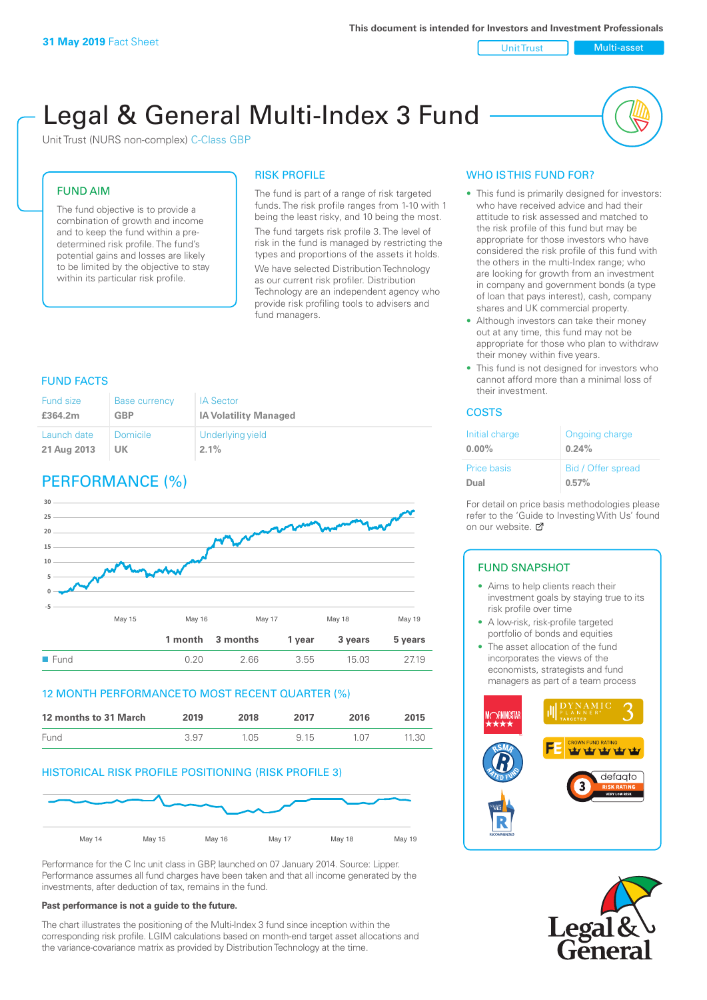Unit Trust Multi-asset

# Legal & General Multi-Index 3 Fund

Unit Trust (NURS non-complex) C-Class GBP

#### FUND AIM

The fund objective is to provide a combination of growth and income and to keep the fund within a predetermined risk profile. The fund's potential gains and losses are likely to be limited by the objective to stay within its particular risk profile.

#### RISK PROFILE

The fund is part of a range of risk targeted funds. The risk profile ranges from 1-10 with 1 being the least risky, and 10 being the most. The fund targets risk profile 3. The level of risk in the fund is managed by restricting the types and proportions of the assets it holds. We have selected Distribution Technology as our current risk profiler. Distribution Technology are an independent agency who provide risk profiling tools to advisers and fund managers.

#### FUND FACTS

| <b>Fund size</b> | <b>Base currency</b> | <b>IA Sector</b>             |
|------------------|----------------------|------------------------------|
| £364.2m          | <b>GBP</b>           | <b>IA Volatility Managed</b> |
| Launch date      | Domicile             | Underlying yield             |
| 21 Aug 2013      | UK.                  | $2.1\%$                      |

# PERFORMANCE (%)



#### 12 MONTH PERFORMANCE TO MOST RECENT QUARTER (%)

| 12 months to 31 March | 2019 | 2018 | 2017 | 2016  | 2015  |
|-----------------------|------|------|------|-------|-------|
| Fund                  | 3.97 | 1.05 | 9 15 | 1 N 7 | 11.30 |

#### HISTORICAL RISK PROFILE POSITIONING (RISK PROFILE 3)



Performance for the C Inc unit class in GBP, launched on 07 January 2014. Source: Lipper. Performance assumes all fund charges have been taken and that all income generated by the investments, after deduction of tax, remains in the fund.

#### **Past performance is not a guide to the future.**

The chart illustrates the positioning of the Multi-Index 3 fund since inception within the corresponding risk profile. LGIM calculations based on month-end target asset allocations and the variance-covariance matrix as provided by Distribution Technology at the time.

## WHO IS THIS FUND FOR?

- This fund is primarily designed for investors: who have received advice and had their attitude to risk assessed and matched to the risk profile of this fund but may be appropriate for those investors who have considered the risk profile of this fund with the others in the multi-Index range; who are looking for growth from an investment in company and government bonds (a type of loan that pays interest), cash, company shares and UK commercial property.
- Although investors can take their money out at any time, this fund may not be appropriate for those who plan to withdraw their money within five years.
- This fund is not designed for investors who cannot afford more than a minimal loss of their investment.

#### COSTS

| Initial charge | Ongoing charge     |
|----------------|--------------------|
| $0.00\%$       | 0.24%              |
| Price basis    | Bid / Offer spread |
| Dual           | 0.57%              |

For detail on price basis methodologies please refer to the 'Guide to Investing With Us' found on our website. Ø

## FUND SNAPSHOT

- Aims to help clients reach their investment goals by staying true to its risk profile over time
- A low-risk, risk-profile targeted portfolio of bonds and equities
- The asset allocation of the fund incorporates the views of the economists, strategists and fund managers as part of a team process



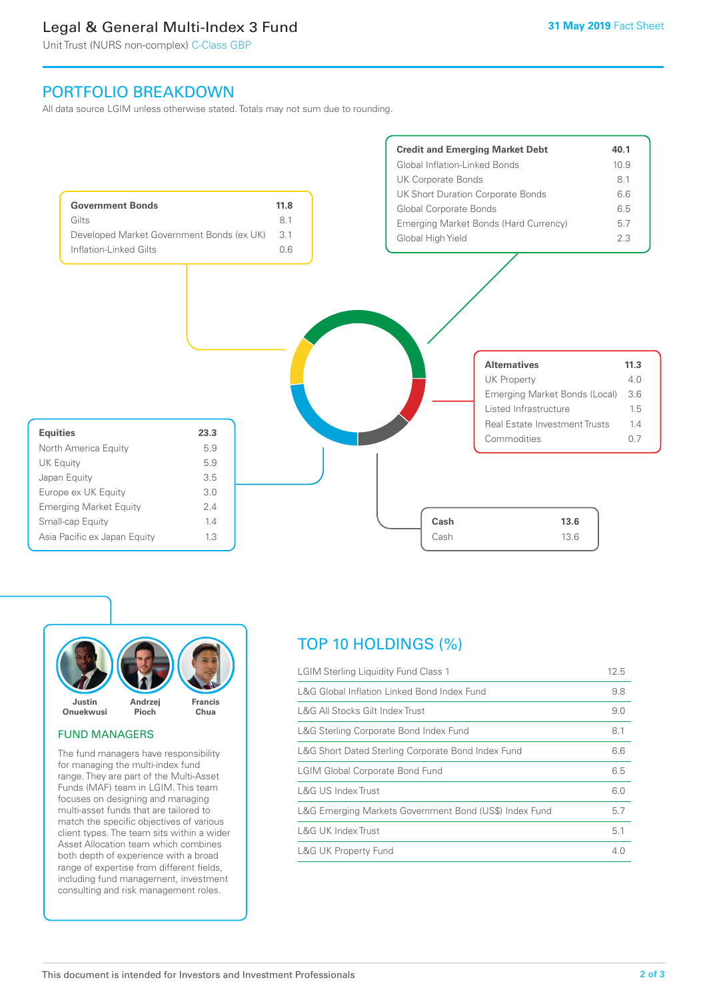## Legal & General Multi-Index 3 Fund

Unit Trust (NURS non-complex) C-Class GBP

## PORTFOLIO BREAKDOWN

All data source LGIM unless otherwise stated. Totals may not sum due to rounding.





#### FUND MANAGERS

The fund managers have responsibility for managing the multi-index fund range. They are part of the Multi-Asset Funds (MAF) team in LGIM. This team focuses on designing and managing multi-asset funds that are tailored to match the specific objectives of various client types. The team sits within a wider Asset Allocation team which combines both depth of experience with a broad range of expertise from different fields, including fund management, investment consulting and risk management roles.

## TOP 10 HOLDINGS (%)

| <b>LGIM Sterling Liquidity Fund Class 1</b>            | 12.5 |
|--------------------------------------------------------|------|
| L&G Global Inflation Linked Bond Index Fund            | 9.8  |
| L&G All Stocks Gilt Index Trust                        | 9.0  |
| L&G Sterling Corporate Bond Index Fund                 | 8.1  |
| L&G Short Dated Sterling Corporate Bond Index Fund     | 6.6  |
| <b>LGIM Global Corporate Bond Fund</b>                 | 6.5  |
| L&G US Index Trust                                     | 6.0  |
| L&G Emerging Markets Government Bond (US\$) Index Fund | 5.7  |
| <b>L&amp;G UK Index Trust</b>                          | 5.1  |
| <b>L&amp;G UK Property Fund</b>                        | 4.0  |